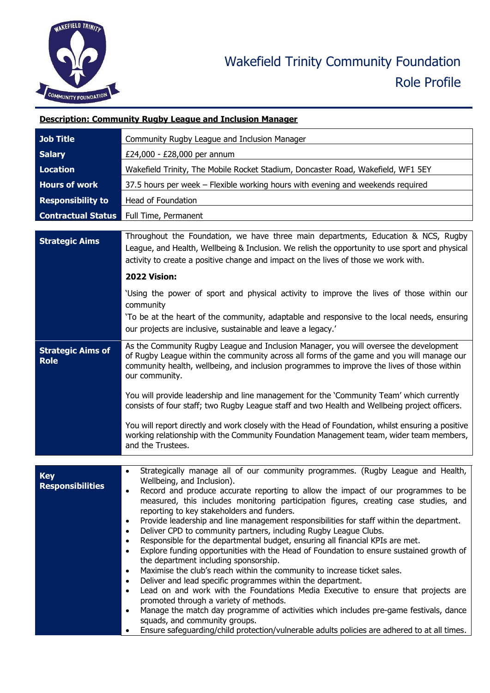

|                                         | <b>Description: Community Rugby League and Inclusion Manager</b>                                                                                                                                                                                                                                                                                                                                                                                                                                                                                                                                                                                                                                                                                                                                                                                                                                                                                                                                                                                                                                                                                                                                                                                                                                                                          |  |
|-----------------------------------------|-------------------------------------------------------------------------------------------------------------------------------------------------------------------------------------------------------------------------------------------------------------------------------------------------------------------------------------------------------------------------------------------------------------------------------------------------------------------------------------------------------------------------------------------------------------------------------------------------------------------------------------------------------------------------------------------------------------------------------------------------------------------------------------------------------------------------------------------------------------------------------------------------------------------------------------------------------------------------------------------------------------------------------------------------------------------------------------------------------------------------------------------------------------------------------------------------------------------------------------------------------------------------------------------------------------------------------------------|--|
| <b>Job Title</b>                        | Community Rugby League and Inclusion Manager                                                                                                                                                                                                                                                                                                                                                                                                                                                                                                                                                                                                                                                                                                                                                                                                                                                                                                                                                                                                                                                                                                                                                                                                                                                                                              |  |
| <b>Salary</b>                           | £24,000 - £28,000 per annum                                                                                                                                                                                                                                                                                                                                                                                                                                                                                                                                                                                                                                                                                                                                                                                                                                                                                                                                                                                                                                                                                                                                                                                                                                                                                                               |  |
| <b>Location</b>                         | Wakefield Trinity, The Mobile Rocket Stadium, Doncaster Road, Wakefield, WF1 5EY                                                                                                                                                                                                                                                                                                                                                                                                                                                                                                                                                                                                                                                                                                                                                                                                                                                                                                                                                                                                                                                                                                                                                                                                                                                          |  |
| <b>Hours of work</b>                    | 37.5 hours per week - Flexible working hours with evening and weekends required                                                                                                                                                                                                                                                                                                                                                                                                                                                                                                                                                                                                                                                                                                                                                                                                                                                                                                                                                                                                                                                                                                                                                                                                                                                           |  |
| <b>Responsibility to</b>                | Head of Foundation                                                                                                                                                                                                                                                                                                                                                                                                                                                                                                                                                                                                                                                                                                                                                                                                                                                                                                                                                                                                                                                                                                                                                                                                                                                                                                                        |  |
| <b>Contractual Status</b>               | Full Time, Permanent                                                                                                                                                                                                                                                                                                                                                                                                                                                                                                                                                                                                                                                                                                                                                                                                                                                                                                                                                                                                                                                                                                                                                                                                                                                                                                                      |  |
| <b>Strategic Aims</b>                   | Throughout the Foundation, we have three main departments, Education & NCS, Rugby<br>League, and Health, Wellbeing & Inclusion. We relish the opportunity to use sport and physical<br>activity to create a positive change and impact on the lives of those we work with.                                                                                                                                                                                                                                                                                                                                                                                                                                                                                                                                                                                                                                                                                                                                                                                                                                                                                                                                                                                                                                                                |  |
|                                         | 2022 Vision:                                                                                                                                                                                                                                                                                                                                                                                                                                                                                                                                                                                                                                                                                                                                                                                                                                                                                                                                                                                                                                                                                                                                                                                                                                                                                                                              |  |
|                                         | 'Using the power of sport and physical activity to improve the lives of those within our<br>community<br>To be at the heart of the community, adaptable and responsive to the local needs, ensuring<br>our projects are inclusive, sustainable and leave a legacy.'                                                                                                                                                                                                                                                                                                                                                                                                                                                                                                                                                                                                                                                                                                                                                                                                                                                                                                                                                                                                                                                                       |  |
| <b>Strategic Aims of</b><br><b>Role</b> | As the Community Rugby League and Inclusion Manager, you will oversee the development<br>of Rugby League within the community across all forms of the game and you will manage our<br>community health, wellbeing, and inclusion programmes to improve the lives of those within<br>our community.<br>You will provide leadership and line management for the 'Community Team' which currently                                                                                                                                                                                                                                                                                                                                                                                                                                                                                                                                                                                                                                                                                                                                                                                                                                                                                                                                            |  |
|                                         | consists of four staff; two Rugby League staff and two Health and Wellbeing project officers.<br>You will report directly and work closely with the Head of Foundation, whilst ensuring a positive<br>working relationship with the Community Foundation Management team, wider team members,<br>and the Trustees.                                                                                                                                                                                                                                                                                                                                                                                                                                                                                                                                                                                                                                                                                                                                                                                                                                                                                                                                                                                                                        |  |
|                                         |                                                                                                                                                                                                                                                                                                                                                                                                                                                                                                                                                                                                                                                                                                                                                                                                                                                                                                                                                                                                                                                                                                                                                                                                                                                                                                                                           |  |
| <b>Key</b><br><b>Responsibilities</b>   | Strategically manage all of our community programmes. (Rugby League and Health,<br>Wellbeing, and Inclusion).<br>Record and produce accurate reporting to allow the impact of our programmes to be<br>measured, this includes monitoring participation figures, creating case studies, and<br>reporting to key stakeholders and funders.<br>Provide leadership and line management responsibilities for staff within the department.<br>$\bullet$<br>Deliver CPD to community partners, including Rugby League Clubs.<br>$\bullet$<br>Responsible for the departmental budget, ensuring all financial KPIs are met.<br>$\bullet$<br>Explore funding opportunities with the Head of Foundation to ensure sustained growth of<br>$\bullet$<br>the department including sponsorship.<br>Maximise the club's reach within the community to increase ticket sales.<br>$\bullet$<br>Deliver and lead specific programmes within the department.<br>$\bullet$<br>Lead on and work with the Foundations Media Executive to ensure that projects are<br>$\bullet$<br>promoted through a variety of methods.<br>Manage the match day programme of activities which includes pre-game festivals, dance<br>$\bullet$<br>squads, and community groups.<br>Ensure safeguarding/child protection/vulnerable adults policies are adhered to at all times. |  |